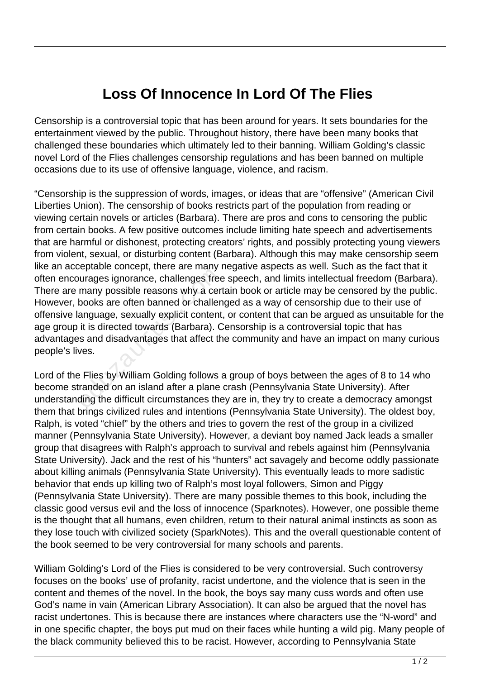## **Loss Of Innocence In Lord Of The Flies**

Censorship is a controversial topic that has been around for years. It sets boundaries for the entertainment viewed by the public. Throughout history, there have been many books that challenged these boundaries which ultimately led to their banning. William Golding's classic novel Lord of the Flies challenges censorship regulations and has been banned on multiple occasions due to its use of offensive language, violence, and racism.

"Censorship is the suppression of words, images, or ideas that are "offensive" (American Civil Liberties Union). The censorship of books restricts part of the population from reading or viewing certain novels or articles (Barbara). There are pros and cons to censoring the public from certain books. A few positive outcomes include limiting hate speech and advertisements that are harmful or dishonest, protecting creators' rights, and possibly protecting young viewers from violent, sexual, or disturbing content (Barbara). Although this may make censorship seem like an acceptable concept, there are many negative aspects as well. Such as the fact that it often encourages ignorance, challenges free speech, and limits intellectual freedom (Barbara). There are many possible reasons why a certain book or article may be censored by the public. However, books are often banned or challenged as a way of censorship due to their use of offensive language, sexually explicit content, or content that can be argued as unsuitable for the age group it is directed towards (Barbara). Censorship is a controversial topic that has advantages and disadvantages that affect the community and have an impact on many curious people's lives. Frame Forcept, more diseased in<br>urages ignorance, challenges free<br>many possible reasons why a cer-<br>books are often banned or challen<br>anguage, sexually explicit content<br>it is directed towards (Barbara). C<br>s and disadvantage

Lord of the Flies by William Golding follows a group of boys between the ages of 8 to 14 who become stranded on an island after a plane crash (Pennsylvania State University). After understanding the difficult circumstances they are in, they try to create a democracy amongst them that brings civilized rules and intentions (Pennsylvania State University). The oldest boy, Ralph, is voted "chief" by the others and tries to govern the rest of the group in a civilized manner (Pennsylvania State University). However, a deviant boy named Jack leads a smaller group that disagrees with Ralph's approach to survival and rebels against him (Pennsylvania State University). Jack and the rest of his "hunters" act savagely and become oddly passionate about killing animals (Pennsylvania State University). This eventually leads to more sadistic behavior that ends up killing two of Ralph's most loyal followers, Simon and Piggy (Pennsylvania State University). There are many possible themes to this book, including the classic good versus evil and the loss of innocence (Sparknotes). However, one possible theme is the thought that all humans, even children, return to their natural animal instincts as soon as they lose touch with civilized society (SparkNotes). This and the overall questionable content of the book seemed to be very controversial for many schools and parents.

William Golding's Lord of the Flies is considered to be very controversial. Such controversy focuses on the books' use of profanity, racist undertone, and the violence that is seen in the content and themes of the novel. In the book, the boys say many cuss words and often use God's name in vain (American Library Association). It can also be argued that the novel has racist undertones. This is because there are instances where characters use the "N-word" and in one specific chapter, the boys put mud on their faces while hunting a wild pig. Many people of the black community believed this to be racist. However, according to Pennsylvania State